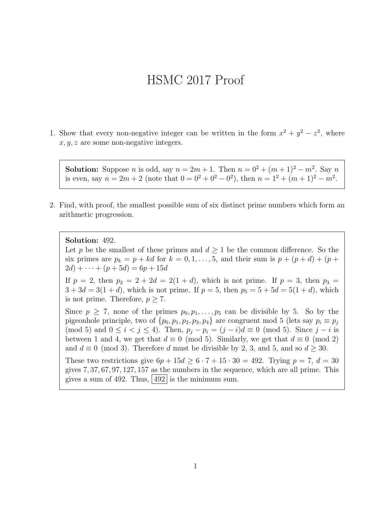## HSMC 2017 Proof

1. Show that every non-negative integer can be written in the form  $x^2 + y^2 - z^2$ , where  $x, y, z$  are some non-negative integers.

**Solution:** Suppose *n* is odd, say  $n = 2m + 1$ . Then  $n = 0^2 + (m + 1)^2 - m^2$ . Say *n* is even, say  $n = 2m + 2$  (note that  $0 = 0^2 + 0^2 - 0^2$ ), then  $n = 1^2 + (m + 1)^2 - m^2$ .

2. Find, with proof, the smallest possible sum of six distinct prime numbers which form an arithmetic progression.

Solution: 492.

Let p be the smallest of these primes and  $d \geq 1$  be the common difference. So the six primes are  $p_k = p + kd$  for  $k = 0, 1, \ldots, 5$ , and their sum is  $p + (p + d) + (p + d)$  $2d) + \cdots + (p + 5d) = 6p + 15d$ 

If  $p = 2$ , then  $p_2 = 2 + 2d = 2(1 + d)$ , which is not prime. If  $p = 3$ , then  $p_3 =$  $3 + 3d = 3(1 + d)$ , which is not prime. If  $p = 5$ , then  $p_5 = 5 + 5d = 5(1 + d)$ , which is not prime. Therefore,  $p > 7$ .

Since  $p \geq 7$ , none of the primes  $p_0, p_1, \ldots, p_5$  can be divisible by 5. So by the pigeonhole principle, two of  $\{p_0, p_1, p_2, p_3, p_4\}$  are congruent mod 5 (lets say  $p_i \equiv p_j$ ) (mod 5) and  $0 \le i < j \le 4$ ). Then,  $p_i - p_i = (j - i)d \equiv 0 \pmod{5}$ . Since  $j - i$  is between 1 and 4, we get that  $d \equiv 0 \pmod{5}$ . Similarly, we get that  $d \equiv 0 \pmod{2}$ and  $d \equiv 0 \pmod{3}$ . Therefore d must be divisible by 2, 3, and 5, and so  $d \ge 30$ .

These two restrictions give  $6p + 15d \geq 6 \cdot 7 + 15 \cdot 30 = 492$ . Trying  $p = 7$ ,  $d = 30$ gives 7, 37, 67, 97, 127, 157 as the numbers in the sequence, which are all prime. This gives a sum of 492. Thus,  $|492|$  is the minimum sum.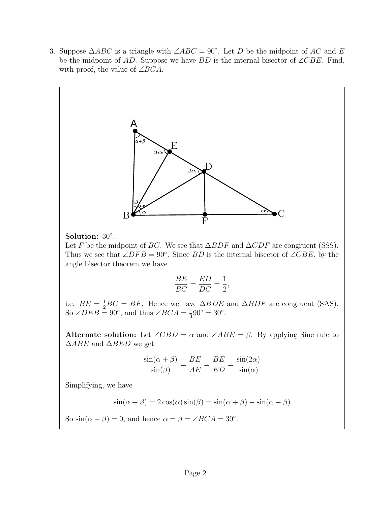3. Suppose  $\triangle ABC$  is a triangle with  $\angle ABC = 90^{\circ}$ . Let D be the midpoint of AC and E be the midpoint of AD. Suppose we have BD is the internal bisector of ∠CBE. Find, with proof, the value of  $\angle BCA$ .



Solution: 30◦ .

Let F be the midpoint of BC. We see that  $\Delta BDF$  and  $\Delta CDF$  are congruent (SSS). Thus we see that  $\angle DFB = 90^\circ$ . Since BD is the internal bisector of  $\angle CBE$ , by the angle bisector theorem we have

$$
\frac{BE}{BC} = \frac{ED}{DC} = \frac{1}{2},
$$

i.e.  $BE = \frac{1}{2}BC = BF$ . Hence we have  $\Delta BDE$  and  $\Delta BDF$  are congruent (SAS). So  $\angle DEB = 90^\circ$ , and thus  $\angle BCA = \frac{1}{3}$  $\frac{1}{3}90^{\circ} = 30^{\circ}.$ 

Alternate solution: Let  $\angle CBD = \alpha$  and  $\angle ABE = \beta$ . By applying Sine rule to  $\triangle ABE$  and  $\triangle BED$  we get

$$
\frac{\sin(\alpha + \beta)}{\sin(\beta)} = \frac{BE}{AE} = \frac{BE}{ED} = \frac{\sin(2\alpha)}{\sin(\alpha)}
$$

Simplifying, we have

 $sin(\alpha + \beta) = 2 cos(\alpha) sin(\beta) = sin(\alpha + \beta) - sin(\alpha - \beta)$ 

So  $\sin(\alpha - \beta) = 0$ , and hence  $\alpha = \beta = \angle BCA = 30^{\circ}$ .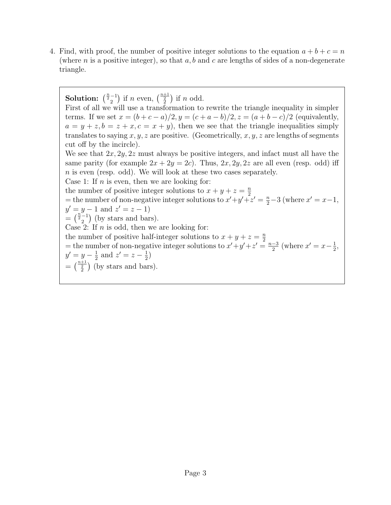4. Find, with proof, the number of positive integer solutions to the equation  $a + b + c = n$ (where n is a positive integer), so that  $a, b$  and c are lengths of sides of a non-degenerate triangle.

**Solution:**  $\binom{\frac{n}{2}-1}{2}$  if *n* even,  $\binom{\frac{n+1}{2}}{2}$  if *n* odd. First of all we will use a transformation to rewrite the triangle inequality in simpler terms. If we set  $x = (b + c - a)/2$ ,  $y = (c + a - b)/2$ ,  $z = (a + b - c)/2$  (equivalently,  $a = y + z, b = z + x, c = x + y$ , then we see that the triangle inequalities simply translates to saying x, y, z are positive. (Geometrically, x, y, z are lengths of segments cut off by the incircle). We see that  $2x, 2y, 2z$  must always be positive integers, and infact must all have the same parity (for example  $2x + 2y = 2c$ ). Thus,  $2x, 2y, 2z$  are all even (resp. odd) iff  $n$  is even (resp. odd). We will look at these two cases separately. Case 1: If  $n$  is even, then we are looking for: the number of positive integer solutions to  $x + y + z = \frac{n}{2}$ 2 = the number of non-negative integer solutions to  $x'+y'+z' = \frac{n}{2}-3$  (where  $x' = x-1$ ,  $y' = y - 1$  and  $z' = z - 1$ )  $=$   $\binom{\frac{n}{2}-1}{2}$  (by stars and bars). Case 2: If  $n$  is odd, then we are looking for: the number of positive half-integer solutions to  $x + y + z = \frac{n}{2}$ = the number of non-negative integer solutions to  $x + y + z = \frac{2}{3}$  $\frac{-3}{2}$  (where  $x' = x - \frac{1}{2}$  $\frac{1}{2}$ ,  $y' = y - \frac{1}{2}$  $\frac{1}{2}$  and  $z' = z - \frac{1}{2}$  $\frac{1}{2}$  $=\binom{\frac{n+1}{2}}{2}$  (by stars and bars).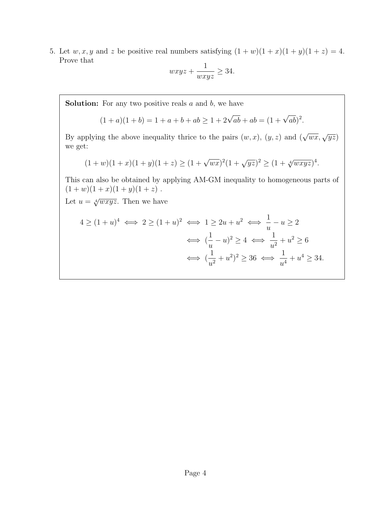5. Let  $w, x, y$  and z be positive real numbers satisfying  $(1 + w)(1 + x)(1 + y)(1 + z) = 4$ . Prove that

$$
wxyz + \frac{1}{wxyz} \ge 34.
$$

**Solution:** For any two positive reals  $a$  and  $b$ , we have

$$
(1+a)(1+b) = 1 + a + b + ab \ge 1 + 2\sqrt{ab} + ab = (1 + \sqrt{ab})^2.
$$

By applying the above inequality thrice to the pairs  $(w, x)$ ,  $(y, z)$  and  $(\sqrt{wx}, \sqrt{yz})$ we get:

$$
(1+w)(1+x)(1+y)(1+z) \ge (1+\sqrt{wx})^2(1+\sqrt{yz})^2 \ge (1+\sqrt[4]{wxyz})^4.
$$

This can also be obtained by applying AM-GM inequality to homogeneous parts of  $(1 + w)(1 + x)(1 + y)(1 + z)$ .

Let  $u = \sqrt[4]{wxyz}$ . Then we have

$$
4 \ge (1+u)^4 \iff 2 \ge (1+u)^2 \iff 1 \ge 2u+u^2 \iff \frac{1}{u}-u \ge 2
$$

$$
\iff (\frac{1}{u}-u)^2 \ge 4 \iff \frac{1}{u^2}+u^2 \ge 6
$$

$$
\iff (\frac{1}{u^2}+u^2)^2 \ge 36 \iff \frac{1}{u^4}+u^4 \ge 34.
$$